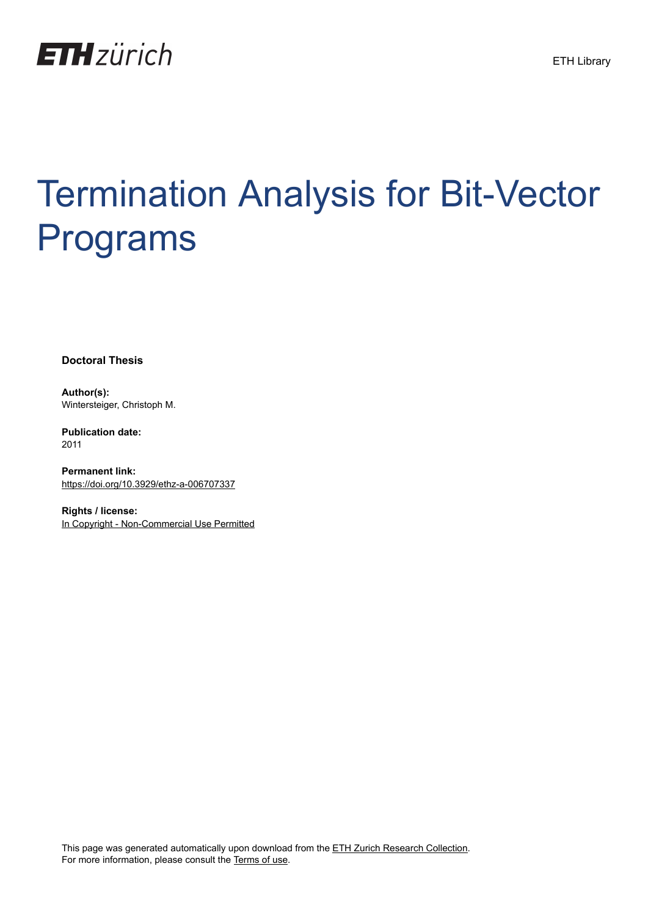

# Termination Analysis for Bit-Vector Programs

**Doctoral Thesis**

**Author(s):** Wintersteiger, Christoph M.

**Publication date:** 2011

**Permanent link:** <https://doi.org/10.3929/ethz-a-006707337>

**Rights / license:** [In Copyright - Non-Commercial Use Permitted](http://rightsstatements.org/page/InC-NC/1.0/)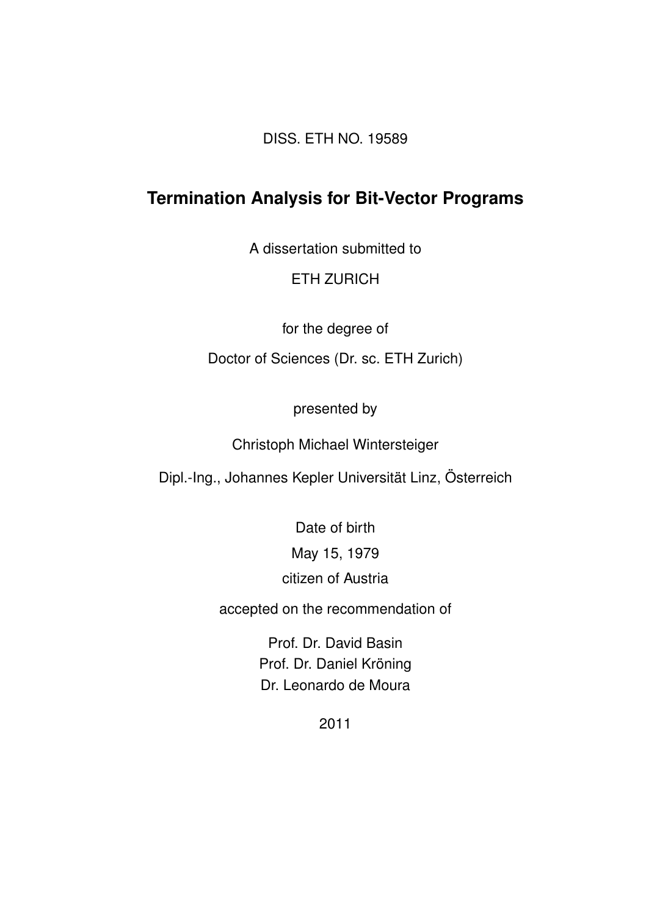DISS. ETH NO. 19589

### **Termination Analysis for Bit-Vector Programs**

A dissertation submitted to

#### ETH ZURICH

for the degree of

Doctor of Sciences (Dr. sc. ETH Zurich)

presented by

Christoph Michael Wintersteiger

Dipl.-Ing., Johannes Kepler Universität Linz, Österreich

Date of birth May 15, 1979 citizen of Austria

accepted on the recommendation of

Prof. Dr. David Basin Prof. Dr. Daniel Kröning Dr. Leonardo de Moura

2011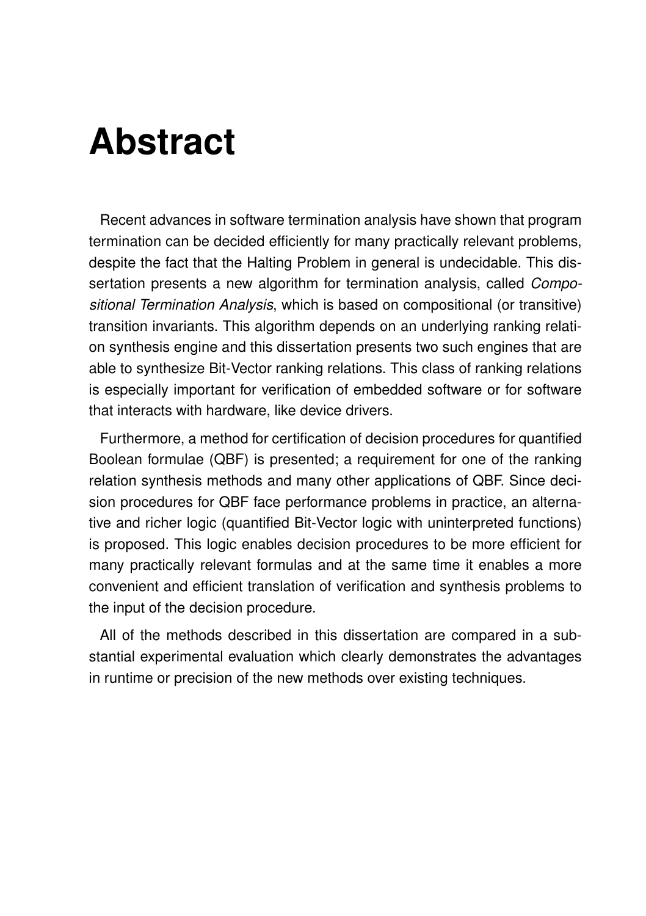### **Abstract**

Recent advances in software termination analysis have shown that program termination can be decided efficiently for many practically relevant problems, despite the fact that the Halting Problem in general is undecidable. This dissertation presents a new algorithm for termination analysis, called *Compositional Termination Analysis*, which is based on compositional (or transitive) transition invariants. This algorithm depends on an underlying ranking relation synthesis engine and this dissertation presents two such engines that are able to synthesize Bit-Vector ranking relations. This class of ranking relations is especially important for verification of embedded software or for software that interacts with hardware, like device drivers.

Furthermore, a method for certification of decision procedures for quantified Boolean formulae (QBF) is presented; a requirement for one of the ranking relation synthesis methods and many other applications of QBF. Since decision procedures for QBF face performance problems in practice, an alternative and richer logic (quantified Bit-Vector logic with uninterpreted functions) is proposed. This logic enables decision procedures to be more efficient for many practically relevant formulas and at the same time it enables a more convenient and efficient translation of verification and synthesis problems to the input of the decision procedure.

All of the methods described in this dissertation are compared in a substantial experimental evaluation which clearly demonstrates the advantages in runtime or precision of the new methods over existing techniques.